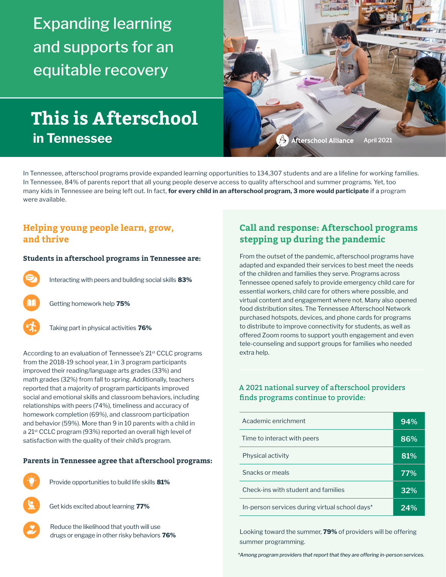Expanding learning and supports for an equitable recovery

# **This is Afterschool in Tennessee**



In Tennessee, afterschool programs provide expanded learning opportunities to 134,307 students and are a lifeline for working families. In Tennessee, 84% of parents report that all young people deserve access to quality afterschool and summer programs. Yet, too many kids in Tennessee are being left out. In fact, **for every child in an afterschool program, 3 more would participate** if a program were available.

## **Helping young people learn, grow, and thrive**

#### **Students in afterschool programs in Tennessee are:**



Interacting with peers and building social skills **83%**



Getting homework help **75%**



Taking part in physical activities **76%**

According to an evaluation of Tennessee's 21<sup>st</sup> CCLC programs from the 2018-19 school year, 1 in 3 program participants improved their reading/language arts grades (33%) and math grades (32%) from fall to spring. Additionally, teachers reported that a majority of program participants improved social and emotional skills and classroom behaviors, including relationships with peers (74%), timeliness and accuracy of homework completion (69%), and classroom participation and behavior (59%). More than 9 in 10 parents with a child in a 21st CCLC program (93%) reported an overall high level of satisfaction with the quality of their child's program.

#### **Parents in Tennessee agree that afterschool programs:**



Provide opportunities to build life skills **81%**

Get kids excited about learning **77%**

Reduce the likelihood that youth will use drugs or engage in other risky behaviors **76%**

## **Call and response: Afterschool programs stepping up during the pandemic**

From the outset of the pandemic, afterschool programs have adapted and expanded their services to best meet the needs of the children and families they serve. Programs across Tennessee opened safely to provide emergency child care for essential workers, child care for others where possible, and virtual content and engagement where not. Many also opened food distribution sites. The Tennessee Afterschool Network purchased hotspots, devices, and phone cards for programs to distribute to improve connectivity for students, as well as offered Zoom rooms to support youth engagement and even tele-counseling and support groups for families who needed extra help.

#### A 2021 national survey of afterschool providers finds programs continue to provide:

| Academic enrichment                            | 94% |
|------------------------------------------------|-----|
| Time to interact with peers                    | 86% |
| Physical activity                              | 81% |
| Snacks or meals                                | 77% |
| Check-ins with student and families            | 32% |
| In-person services during virtual school days* | 24% |

Looking toward the summer, **79%** of providers will be offering summer programming.

*\*Among program providers that report that they are offering in-person services.*